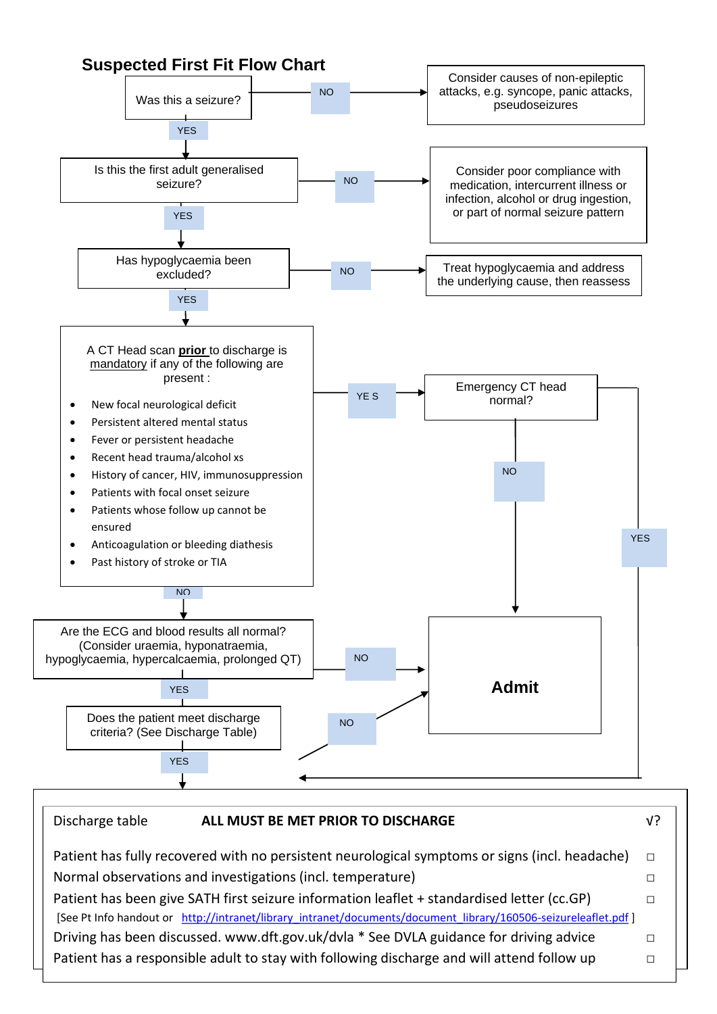

Normal observations and investigations (incl. temperature)  $\Box$ Patient has been give SATH first seizure information leaflet + standardised letter (cc.GP)  $\Box$ [See Pt Info handout or http://intranet/library\_intranet/documents/document\_library/160506-seizureleaflet.pdf ] Driving has been discussed. www.dft.gov.uk/dvla \* See DVLA guidance for driving advice □ Patient has a responsible adult to stay with following discharge and will attend follow up  $\Box$